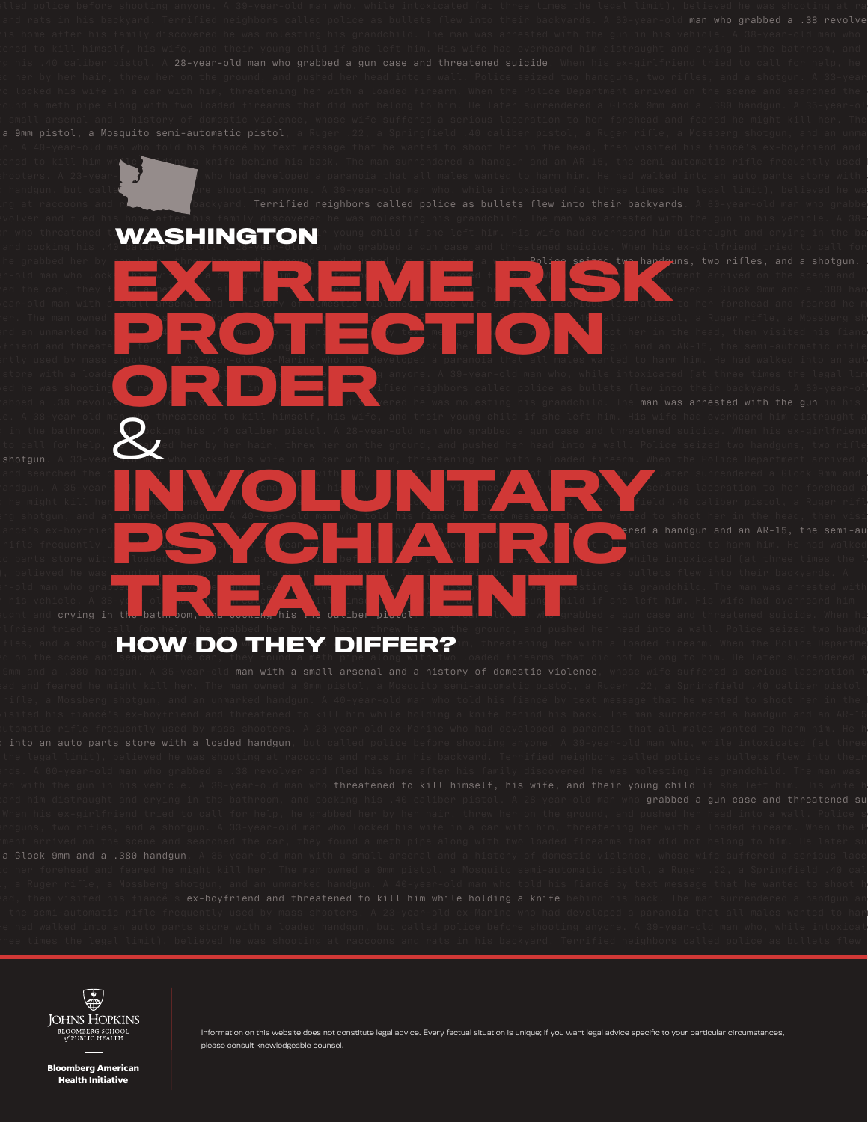on who threatened to **WASHINGTON** required this she left him. His wife had overheard him distraught and crying in the bath-<br>And cooking his and the dall for and cocking his .40 caliber pistol. A 28-year-old man who grabbed a gun case and threatened suicide. When his ex-girlfriend tried to call for ar-old man who locked his wife in a local manner with a local meaning firearm. When the Police Department arrived on the scene and ed the car, they fo<mark>und a method a seal in the local computation and a method for any found a method in and a .380 hand</mark> rear-old man with a small arsenal and a history of domestic violence, whose wife suffered a serious laceration to her forehead and feared he m kill her. The man owned a 19mm pistol, a Mossberg shot-automatic pistol, a Ruger shot-automatic pistol, a Ruger rifle, a Mossberg sh and an unmarked hand **and a strong of man who told man who touched by text message that he wanted his fiance of the wanted to shoot her in the head, then visited his fianc** rfriend and threaten to kill him while holding  $\kappa$  and  $\kappa$  and  $\kappa$  here  $\kappa$  behind him and an AR-15, the semi-automatic rifle parts store with a loaded handgun, but called police before showing anyone. A 39-year-old man who, while intoxicated (at three times the legal lim red he was shooting at raccoons and ratio  $\frac{1}{\sqrt{2}}$  in  $\frac{1}{\sqrt{2}}$  in  $\frac{1}{\sqrt{2}}$  at fied neighbors called police as bullets flew into their backyards. A 60-year-ol e. A 38-year-old man who threatened to kill himself, his wife, and their young child if she left him. His wife had overheard him distraught a  $\,$  in the bathroom, a $\,$  coking his .40 caliber pistol. A 28-year-old man who grabbed a gun case and threatened suicide. When his ex-girlfriend to call for help, **the grabbed** her by her hair, threw her on the ground, and pushed her head into a wall. Police seized two handguns, two rifle shotgun. A 33-year-old man who locked his wife in a car with him, threatening her with a loaded firearm. When the Police Department arrived o and searched the car, they found a method a method is with two loaded firearms that did not belong that did not belong to him. He later surrendered a Glock 9mm and handgun. A 35-year-old man with a small and a history of domestic violence, whose wife suffered a serious laceration to her forehead a **EXTREME REME RISK** Shooters. A 23-year-old ex-Marine who had developed a paranoia that all males wanted **ORDER**  $\mathcal{Z}$ **INVOLUTABLE PROPERTY OF SALE AND STATE OF A SERVE AND SERVE AND SERVE AND SERVE AND SERVE AND SERVE AND SERVE AND SERVE AND SERVE AND SERVE AND SERVE AND SERVE AND SERVE AND SERVE AND SERVE AND SERVE AND SERVE AND SERVE A** 

field .40 caliber is to make the man of the man of the man owned a 9mm pistol, a Ruger rifle, a 9mm pistol, a Ruger rifle, a Springfield .40 caliber pistol, a Ruger rifle, a  $\alpha$ 

tened to kill him while  $\sum$  ing a knife behind his back. The man surrendered a handgun and an AR-15, the semi-automatic rifle frequently used by the semi-automatic rifle frequently used shooters. A 23-year- $\blacksquare$  who had developed a paranoia that all males wanted to harm him. He had walked into an auto parts store with l handgun, but called police before shooting anyone. A 39-year-old man who, while intoxicated (at three times the legal limit), believed he wa

man who grabbed a .38 revolve

ed a handgun and an AR-15, the semi-au red a knife behind his back. The man surrendered a handgun and an AR-15, the semi-au matic frequently used by mass show that we may be made a paraloid by matter who had developed a paranoia that all males wanted to harm him. He had walked an auto parts store with a loaded handgun, but called police before shooting anyone. A 39-year-old man who, while intoxicated (at three times the legal ), believed he was <mark>shooting at raccoons and</mark> rat<u>s in his backyar</u>d. T<u>errified neigh</u>bor<u>s called po</u>lice as bullets flew into their backyards. A ir-old man who grabbed **and geve** c<mark>ommunited his model is a line was molest</mark>ing his grandchild. The man was arrested with his vehicle. A 38-y<mark>ear-old man who magazed to kill himself, his wife, and</mark> their who hild if she left him. His wife had overheard him ught and **crying in the bathroom, and cocking his .40 caliber pistol. A 28-year-old man** who grabbed a gun case and threatened suicide. When hi ifles, and a shotgun**HOW DO THEY DIFFER?**Im, threatening her with a loaded firearm. When the Police Departme<br>How the contract of the Police Department of the **House of the Contract of the Contract of the University of the** man with a small arsenal and a history of domestic violence ex-boyfriend and threatened to kill him while holding a knife **PSYCHIATRIC COMPANY OF THE CONSTRUCTION** TREATMENT COMPANY TO THE CONTRACT OF THE CONTRACT OF THE CONTRACT OF THE CONTRACT OF THE CONTRACT OF THE CONTRACT OF THE CONTRACT OF THE CONTRACT OF THE CONTRACT OF THE CONTRACT OF THE CONTRACT OF THE CONTRACT OF THE CONTR



Information on this website does not constitute legal advice. Every factual situation is unique; if you want legal advice specific to your particular circumstances, please consult knowledgeable counsel.

**Bloomberg American Health Initiative**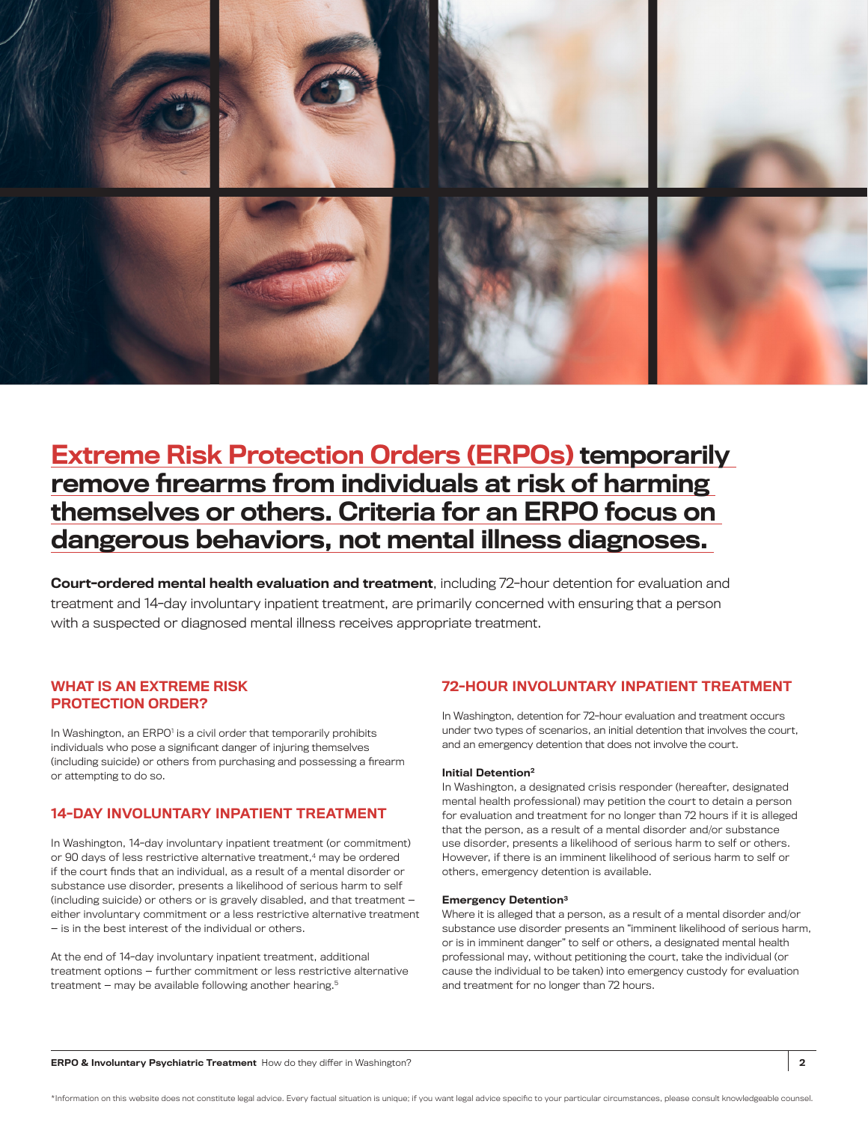

# Extreme Risk Protection Orders (ERPOs) temporarily remove firearms from individuals at risk of harming themselves or others. Criteria for an ERPO focus on dangerous behaviors, not mental illness diagnoses.

Court-ordered mental health evaluation and treatment, including 72-hour detention for evaluation and treatment and 14-day involuntary inpatient treatment, are primarily concerned with ensuring that a person with a suspected or diagnosed mental illness receives appropriate treatment.

## WHAT IS AN EXTREME RISK PROTECTION ORDER?

In Washington, an ERPO1 is a civil order that temporarily prohibits individuals who pose a significant danger of injuring themselves (including suicide) or others from purchasing and possessing a firearm or attempting to do so.

## 14-DAY INVOLUNTARY INPATIENT TREATMENT

In Washington, 14-day involuntary inpatient treatment (or commitment) or 90 days of less restrictive alternative treatment,<sup>4</sup> may be ordered if the court finds that an individual, as a result of a mental disorder or substance use disorder, presents a likelihood of serious harm to self (including suicide) or others or is gravely disabled, and that treatment either involuntary commitment or a less restrictive alternative treatment — is in the best interest of the individual or others.

At the end of 14-day involuntary inpatient treatment, additional treatment options — further commitment or less restrictive alternative treatment - may be available following another hearing.<sup>5</sup>

### 72-HOUR INVOLUNTARY INPATIENT TREATMENT

In Washington, detention for 72-hour evaluation and treatment occurs under two types of scenarios, an initial detention that involves the court, and an emergency detention that does not involve the court.

#### Initial Detention2

In Washington, a designated crisis responder (hereafter, designated mental health professional) may petition the court to detain a person for evaluation and treatment for no longer than 72 hours if it is alleged that the person, as a result of a mental disorder and/or substance use disorder, presents a likelihood of serious harm to self or others. However, if there is an imminent likelihood of serious harm to self or others, emergency detention is available.

#### Emergency Detention3

Where it is alleged that a person, as a result of a mental disorder and/or substance use disorder presents an "imminent likelihood of serious harm, or is in imminent danger" to self or others, a designated mental health professional may, without petitioning the court, take the individual (or cause the individual to be taken) into emergency custody for evaluation and treatment for no longer than 72 hours.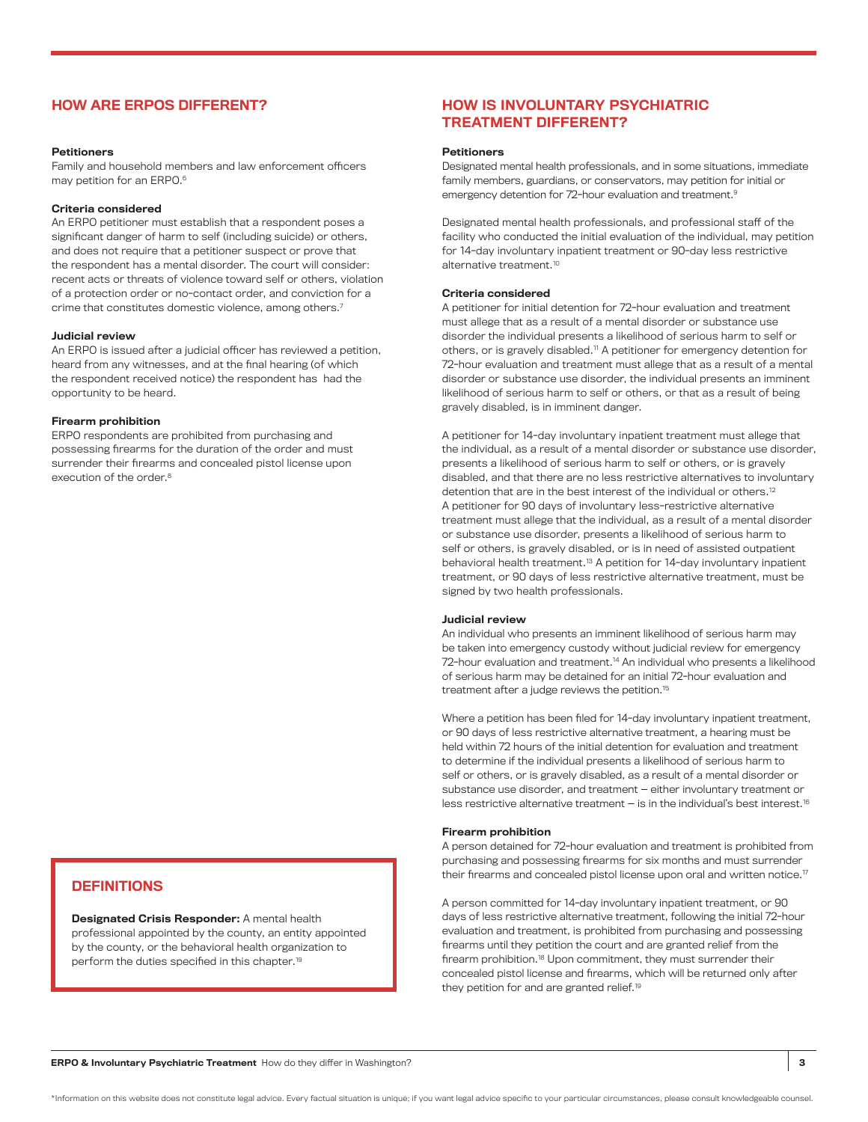### HOW ARE ERPOS DIFFERENT?

#### **Petitioners**

Family and household members and law enforcement officers may petition for an ERPO.6

#### Criteria considered

An ERPO petitioner must establish that a respondent poses a significant danger of harm to self (including suicide) or others, and does not require that a petitioner suspect or prove that the respondent has a mental disorder. The court will consider: recent acts or threats of violence toward self or others, violation of a protection order or no-contact order, and conviction for a crime that constitutes domestic violence, among others.7

#### Judicial review

An ERPO is issued after a judicial officer has reviewed a petition, heard from any witnesses, and at the final hearing (of which the respondent received notice) the respondent has had the opportunity to be heard.

#### Firearm prohibition

ERPO respondents are prohibited from purchasing and possessing firearms for the duration of the order and must surrender their firearms and concealed pistol license upon execution of the order.<sup>8</sup>

## **DEFINITIONS**

Designated Crisis Responder: A mental health professional appointed by the county, an entity appointed by the county, or the behavioral health organization to perform the duties specified in this chapter.19

### HOW IS INVOLUNTARY PSYCHIATRIC TREATMENT DIFFERENT?

#### **Petitioners**

Designated mental health professionals, and in some situations, immediate family members, guardians, or conservators, may petition for initial or emergency detention for 72-hour evaluation and treatment.<sup>9</sup>

Designated mental health professionals, and professional staff of the facility who conducted the initial evaluation of the individual, may petition for 14-day involuntary inpatient treatment or 90-day less restrictive alternative treatment.<sup>10</sup>

#### Criteria considered

A petitioner for initial detention for 72-hour evaluation and treatment must allege that as a result of a mental disorder or substance use disorder the individual presents a likelihood of serious harm to self or others, or is gravely disabled.11 A petitioner for emergency detention for 72-hour evaluation and treatment must allege that as a result of a mental disorder or substance use disorder, the individual presents an imminent likelihood of serious harm to self or others, or that as a result of being gravely disabled, is in imminent danger.

A petitioner for 14-day involuntary inpatient treatment must allege that the individual, as a result of a mental disorder or substance use disorder, presents a likelihood of serious harm to self or others, or is gravely disabled, and that there are no less restrictive alternatives to involuntary detention that are in the best interest of the individual or others.<sup>12</sup> A petitioner for 90 days of involuntary less-restrictive alternative treatment must allege that the individual, as a result of a mental disorder or substance use disorder, presents a likelihood of serious harm to self or others, is gravely disabled, or is in need of assisted outpatient behavioral health treatment.<sup>13</sup> A petition for 14-day involuntary inpatient treatment, or 90 days of less restrictive alternative treatment, must be signed by two health professionals.

#### Judicial review

An individual who presents an imminent likelihood of serious harm may be taken into emergency custody without judicial review for emergency 72-hour evaluation and treatment.<sup>14</sup> An individual who presents a likelihood of serious harm may be detained for an initial 72-hour evaluation and treatment after a judge reviews the petition.<sup>15</sup>

Where a petition has been filed for 14-day involuntary inpatient treatment, or 90 days of less restrictive alternative treatment, a hearing must be held within 72 hours of the initial detention for evaluation and treatment to determine if the individual presents a likelihood of serious harm to self or others, or is gravely disabled, as a result of a mental disorder or substance use disorder, and treatment — either involuntary treatment or less restrictive alternative treatment  $-$  is in the individual's best interest.<sup>16</sup>

#### Firearm prohibition

A person detained for 72-hour evaluation and treatment is prohibited from purchasing and possessing firearms for six months and must surrender their firearms and concealed pistol license upon oral and written notice.<sup>17</sup>

A person committed for 14-day involuntary inpatient treatment, or 90 days of less restrictive alternative treatment, following the initial 72-hour evaluation and treatment, is prohibited from purchasing and possessing firearms until they petition the court and are granted relief from the firearm prohibition.<sup>18</sup> Upon commitment, they must surrender their concealed pistol license and firearms, which will be returned only after they petition for and are granted relief.<sup>19</sup>